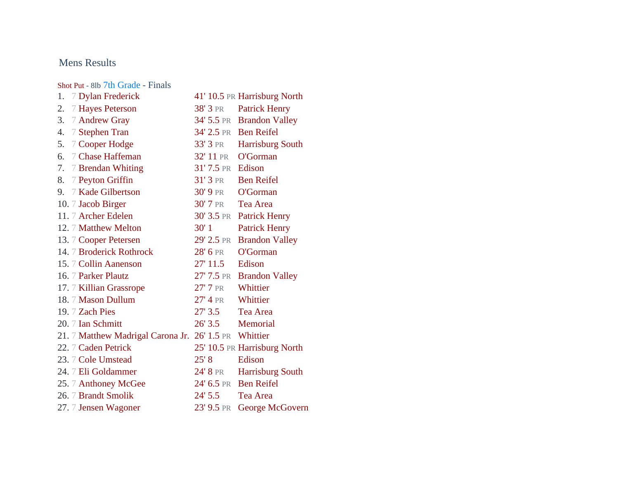## Mens Results

[Shot Put](https://www.athletic.net/TrackAndField/meet/470937/results/m/11/shot) - 8lb 7th Grade - Finals

| 1. | 7 Dylan Frederick                 |                     | 41' 10.5 PR Harrisburg North |
|----|-----------------------------------|---------------------|------------------------------|
| 2. | 7 Hayes Peterson                  |                     | 38' 3 PR Patrick Henry       |
| 3. | 7 Andrew Gray                     |                     | 34' 5.5 PR Brandon Valley    |
| 4. | 7 Stephen Tran                    |                     | 34' 2.5 PR Ben Reifel        |
| 5. | 7 Cooper Hodge                    | 33' 3 PR            | <b>Harrisburg South</b>      |
| 6. | 7 Chase Haffeman                  | 32' 11 PR           | O'Gorman                     |
| 7. | 7 Brendan Whiting                 | 31'7.5 PR Edison    |                              |
| 8. | 7 Peyton Griffin                  | $31'3$ PR           | <b>Ben Reifel</b>            |
|    | 9. 7 Kade Gilbertson              | $30'$ 9 pr          | O'Gorman                     |
|    | 10. 7 Jacob Birger                | 30' 7 PR            | Tea Area                     |
|    | 11. 7 Archer Edelen               |                     | 30' 3.5 PR Patrick Henry     |
|    | 12. 7 Matthew Melton              | 30'1                | <b>Patrick Henry</b>         |
|    | 13. 7 Cooper Petersen             | 29' 2.5 PR          | <b>Brandon Valley</b>        |
|    | 14. 7 Broderick Rothrock          | 28' 6 PR            | O'Gorman                     |
|    | 15. 7 Collin Aanenson             | 27' 11.5            | Edison                       |
|    | 16. 7 Parker Plautz               |                     | 27' 7.5 PR Brandon Valley    |
|    | 17. 7 Killian Grassrope           | $27'$ 7 pr          | Whittier                     |
|    | 18. 7 Mason Dullum                | $27'$ 4 pr          | Whittier                     |
|    | 19. 7 Zach Pies                   | 27'3.5              | Tea Area                     |
|    | 20. 7 Ian Schmitt                 | 26' 3.5 Memorial    |                              |
|    | 21. 7 Matthew Madrigal Carona Jr. | 26' 1.5 PR Whittier |                              |
|    | 22. 7 Caden Petrick               |                     | 25' 10.5 PR Harrisburg North |
|    | 23. 7 Cole Umstead                | 25' 8               | Edison                       |
|    | 24. 7 Eli Goldammer               | 24' 8 pr            | <b>Harrisburg South</b>      |
|    | 25. 7 Anthoney McGee              |                     | 24' 6.5 PR Ben Reifel        |
|    | 26. 7 Brandt Smolik               | $24'$ 5.5           | Tea Area                     |
|    | 27. 7 Jensen Wagoner              | $23'$ 9.5 pr        | George McGovern              |
|    |                                   |                     |                              |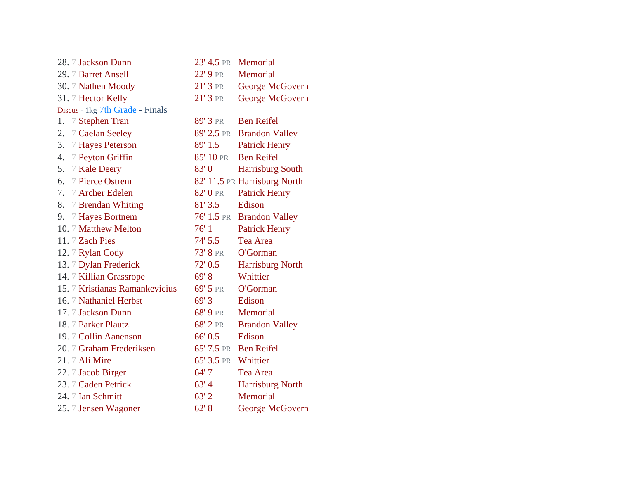| 28. 7 Jackson Dunn              | 23' 4.5 PR Memorial |                              |
|---------------------------------|---------------------|------------------------------|
| 29. 7 Barret Ansell             | 22' 9 pr            | Memorial                     |
| 30. 7 Nathen Moody              | $21'3$ PR           | George McGovern              |
| 31. 7 Hector Kelly              | $21'3$ PR           | George McGovern              |
| Discus - 1kg 7th Grade - Finals |                     |                              |
| 1. 7 Stephen Tran               | 89' 3 pr            | <b>Ben Reifel</b>            |
| 2. 7 Caelan Seeley              |                     | 89' 2.5 PR Brandon Valley    |
| 3. 7 Hayes Peterson             | 89' 1.5             | <b>Patrick Henry</b>         |
| 4. 7 Peyton Griffin             |                     | 85' 10 PR Ben Reifel         |
| 5. 7 Kale Deery                 | 83'0                | <b>Harrisburg South</b>      |
| 6. 7 Pierce Ostrem              |                     | 82' 11.5 PR Harrisburg North |
| 7. 7 Archer Edelen              | 82' 0 PR            | <b>Patrick Henry</b>         |
| 8. 7 Brendan Whiting            | 81'3.5              | Edison                       |
| 9. 7 Hayes Bortnem              |                     | 76' 1.5 PR Brandon Valley    |
| 10. 7 Matthew Melton            | 76'1                | <b>Patrick Henry</b>         |
| 11. 7 Zach Pies                 | 74' 5.5             | Tea Area                     |
| 12. 7 Rylan Cody                | 73' 8 pr            | O'Gorman                     |
| 13. 7 Dylan Frederick           | 72' 0.5             | <b>Harrisburg North</b>      |
| 14. 7 Killian Grassrope         | 69' 8               | Whittier                     |
| 15. 7 Kristianas Ramankevicius  | 69' 5 PR            | O'Gorman                     |
| 16. 7 Nathaniel Herbst          | 69'3                | Edison                       |
| 17. 7 Jackson Dunn              | 68' 9 pr            | Memorial                     |
| 18. 7 Parker Plautz             | 68' 2 PR            | <b>Brandon Valley</b>        |
| 19. 7 Collin Aanenson           | 66' 0.5             | Edison                       |
| 20. 7 Graham Frederiksen        |                     | 65' 7.5 PR Ben Reifel        |
| 21. 7 Ali Mire                  | 65' 3.5 PR Whittier |                              |
| 22. 7 Jacob Birger              | 64'7                | Tea Area                     |
| 23. 7 Caden Petrick             | 63'4                | Harrisburg North             |
| 24. 7 Ian Schmitt               | 63'2                | Memorial                     |
| 25.7 Jensen Wagoner             | 62' 8               | George McGovern              |
|                                 |                     |                              |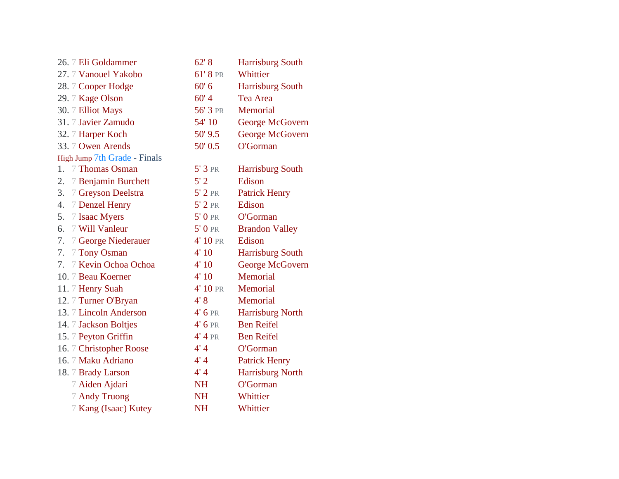| 26. 7 Eli Goldammer          | 62' 8     | Harrisburg South        |
|------------------------------|-----------|-------------------------|
| 27. 7 Vanouel Yakobo         | 61'8 PR   | Whittier                |
| 28. 7 Cooper Hodge           | 60' 6     | <b>Harrisburg South</b> |
| 29. 7 Kage Olson             | 60'4      | Tea Area                |
| 30. 7 Elliot Mays            | 56' 3 PR  | Memorial                |
| 31. 7 Javier Zamudo          | 54' 10    | George McGovern         |
| 32. 7 Harper Koch            | 50' 9.5   | George McGovern         |
| 33. 7 Owen Arends            | 50' 0.5   | O'Gorman                |
| High Jump 7th Grade - Finals |           |                         |
| 1.<br>7 Thomas Osman         | $5'3$ PR  | <b>Harrisburg South</b> |
| 2.<br>7 Benjamin Burchett    | 5'2       | Edison                  |
| 3.<br>7 Greyson Deelstra     | $5'2$ PR  | <b>Patrick Henry</b>    |
| 4.<br>7 Denzel Henry         | $5'2$ PR  | Edison                  |
| 7 Isaac Myers<br>5.          | $5'0$ PR  | O'Gorman                |
| 6.<br>7 Will Vanleur         | $5'0$ PR  | <b>Brandon Valley</b>   |
| 7.<br>7 George Niederauer    | 4' 10 PR  | Edison                  |
| 7 Tony Osman<br>7.           | 4'10      | <b>Harrisburg South</b> |
| 7 Kevin Ochoa Ochoa<br>7.    | 4'10      | George McGovern         |
| 10. 7 Beau Koerner           | 4'10      | Memorial                |
| 11. 7 Henry Suah             | 4' 10 PR  | Memorial                |
| 12. 7 Turner O'Bryan         | 4'8       | Memorial                |
| 13. 7 Lincoln Anderson       | $4'6$ PR  | <b>Harrisburg North</b> |
| 14. 7 Jackson Boltjes        | $4'6$ PR  | <b>Ben Reifel</b>       |
| 15. 7 Peyton Griffin         | 4'4PR     | <b>Ben Reifel</b>       |
| 16. 7 Christopher Roose      | 4'4       | O'Gorman                |
| 16. 7 Maku Adriano           | 4'4       | <b>Patrick Henry</b>    |
| 18. 7 Brady Larson           | 4'4       | Harrisburg North        |
| 7 Aiden Ajdari               | <b>NH</b> | O'Gorman                |
| 7 Andy Truong                | <b>NH</b> | Whittier                |
| 7 Kang (Isaac) Kutey         | <b>NH</b> | Whittier                |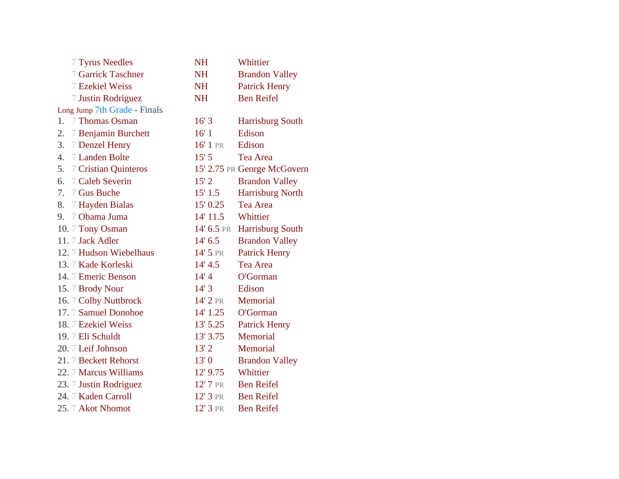| 7 Tyrus Needles              | <b>NH</b>  | Whittier                    |
|------------------------------|------------|-----------------------------|
| 7 Garrick Taschner           | <b>NH</b>  | <b>Brandon Valley</b>       |
| 7 Ezekiel Weiss              | <b>NH</b>  | <b>Patrick Henry</b>        |
| 7 Justin Rodriguez           | <b>NH</b>  | <b>Ben Reifel</b>           |
| Long Jump 7th Grade - Finals |            |                             |
| 1. 7 Thomas Osman            | 16'3       | <b>Harrisburg South</b>     |
| 2.<br>7 Benjamin Burchett    | 16'1       | Edison                      |
| 3.<br>7 Denzel Henry         | 16' 1 PR   | Edison                      |
| 7 Landen Bolte<br>4.         | 15'5       | Tea Area                    |
| 5.<br>7 Cristian Quinteros   |            | 15' 2.75 PR George McGovern |
| 7 Caleb Severin<br>6.        | 15'2       | <b>Brandon Valley</b>       |
| 7 Gus Buche<br>7.            | 15' 1.5    | <b>Harrisburg North</b>     |
| 8.<br>7 Hayden Bialas        | 15' 0.25   | <b>Tea Area</b>             |
| 7 Obama Juma<br>9.           | 14' 11.5   | Whittier                    |
| 10. 7 Tony Osman             |            | 14' 6.5 PR Harrisburg South |
| 11. 7 Jack Adler             | 14' 6.5    | <b>Brandon Valley</b>       |
| 12. 7 Hudson Wiebelhaus      | 14' 5 PR   | <b>Patrick Henry</b>        |
| 13. 7 Kade Korleski          | 14' 4.5    | Tea Area                    |
| 14. 7 Emeric Benson          | 14'4       | O'Gorman                    |
| 15.7 Brody Nour              | 14'3       | Edison                      |
| 16. 7 Colby Nuttbrock        | 14' 2 PR   | Memorial                    |
| 17. 7 Samuel Donohoe         | 14' 1.25   | O'Gorman                    |
| 18. 7 Ezekiel Weiss          | $13'$ 5.25 | <b>Patrick Henry</b>        |
| 19.7 Eli Schuldt             | 13' 3.75   | Memorial                    |
| 20. 7 Leif Johnson           | 13'2       | Memorial                    |
| 21. 7 Beckett Rehorst        | 13'0       | <b>Brandon Valley</b>       |
| 22. 7 Marcus Williams        | $12'$ 9.75 | Whittier                    |
| 23. 7 Justin Rodriguez       | 12' 7 PR   | <b>Ben Reifel</b>           |
| 24. 7 Kaden Carroll          | $12'3$ PR  | <b>Ben Reifel</b>           |
| 25. 7 Akot Nhomot            | 12' 3 PR   | <b>Ben Reifel</b>           |
|                              |            |                             |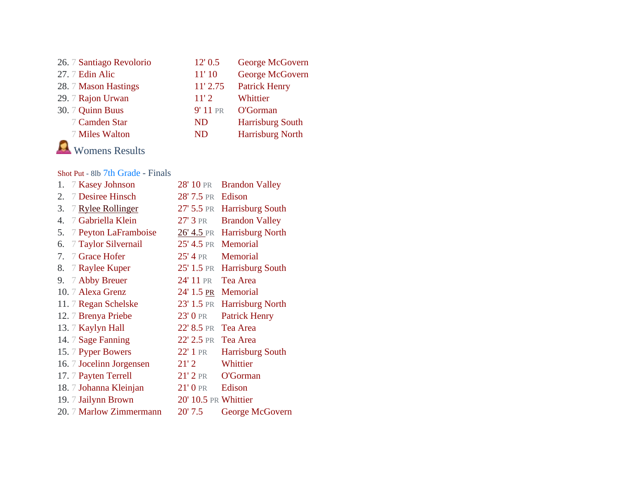| 26. 7 Santiago Revolorio | 12' 0.5    | George McGovern         |
|--------------------------|------------|-------------------------|
| 27. 7 Edin Alic          | 11'10      | George McGovern         |
| 28. 7 Mason Hastings     | $11'$ 2.75 | <b>Patrick Henry</b>    |
| 29. 7 Rajon Urwan        | 11'2       | Whittier                |
| 30. 7 Quinn Buus         | 9' 11 PR   | O'Gorman                |
| 7 Camden Star            | <b>ND</b>  | <b>Harrisburg South</b> |
| 7 Miles Walton           | <b>ND</b>  | <b>Harrisburg North</b> |
|                          |            |                         |

Womens Results

## [Shot Put](https://www.athletic.net/TrackAndField/meet/470937/results/f/11/shot) - 8lb 7th Grade - Finals

| 1. | 7 Kasey Johnson          | 28' 10 PR            | <b>Brandon Valley</b>   |
|----|--------------------------|----------------------|-------------------------|
| 2. | 7 Desiree Hinsch         | 28' 7.5 PR           | Edison                  |
| 3. | 7 Rylee Rollinger        | 27' 5.5 PR           | Harrisburg South        |
| 4. | 7 Gabriella Klein        | 27' 3 PR             | <b>Brandon Valley</b>   |
| 5. | 7 Peyton LaFramboise     | $26'$ 4.5 pr         | <b>Harrisburg North</b> |
| 6. | 7 Taylor Silvernail      | $25' 4.5$ PR         | Memorial                |
| 7. | 7 Grace Hofer            | 25' 4 PR             | <b>Memorial</b>         |
| 8. | 7 Raylee Kuper           | 25' 1.5 PR           | Harrisburg South        |
| 9. | 7 Abby Breuer            | 24' 11 PR            | Tea Area                |
|    | 10. 7 Alexa Grenz        | $24' 1.5$ PR         | Memorial                |
|    | 11. 7 Regan Schelske     | 23' 1.5 PR           | Harrisburg North        |
|    | 12. 7 Brenya Priebe      | $23'0$ PR            | <b>Patrick Henry</b>    |
|    | 13. 7 Kaylyn Hall        | 22' 8.5 PR           | Tea Area                |
|    | 14. 7 Sage Fanning       | 22' 2.5 PR           | Tea Area                |
|    | 15. 7 Pyper Bowers       | $22'1$ PR            | <b>Harrisburg South</b> |
|    | 16. 7 Jocelinn Jorgensen | 21'2                 | Whittier                |
|    | 17. 7 Payten Terrell     | $21'2$ PR            | O'Gorman                |
|    | 18. 7 Johanna Kleinjan   | $21'0$ PR            | Edison                  |
|    | 19. 7 Jailynn Brown      | 20' 10.5 PR Whittier |                         |
|    | 20. 7 Marlow Zimmermann  | 20'7.5               | George McGovern         |
|    |                          |                      |                         |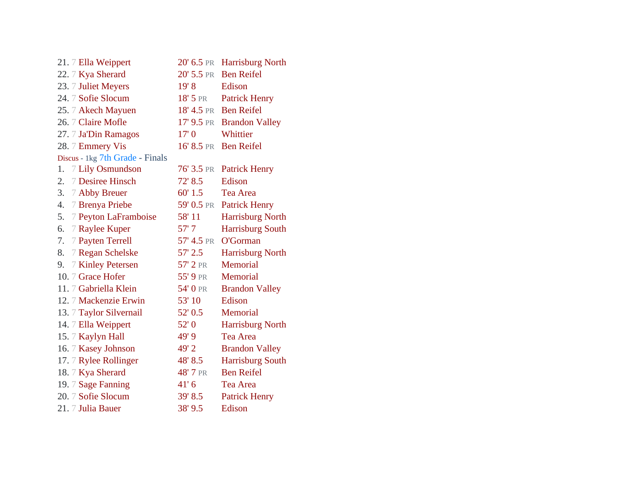| $20'$ 6.5 pr   | <b>Harrisburg North</b>   |
|----------------|---------------------------|
| $20'$ 5.5 PR   | <b>Ben Reifel</b>         |
| 19' 8          | Edison                    |
| $18'$ 5 pr     | <b>Patrick Henry</b>      |
| 18' 4.5 PR     | <b>Ben Reifel</b>         |
|                | 17' 9.5 PR Brandon Valley |
| 17'0           | Whittier                  |
| $16'$ $8.5$ PR | <b>Ben Reifel</b>         |
|                |                           |
| $76'$ 3.5 PR   | <b>Patrick Henry</b>      |
| 72' 8.5        | Edison                    |
| 60' 1.5        | Tea Area                  |
| 59' 0.5 pr     | <b>Patrick Henry</b>      |
| 58' 11         | Harrisburg North          |
| 57' 7          | <b>Harrisburg South</b>   |
| 57' 4.5 PR     | O'Gorman                  |
| 57' 2.5        | <b>Harrisburg North</b>   |
| 57' 2 PR       | Memorial                  |
| 55' 9 PR       | Memorial                  |
| 54' 0 PR       | <b>Brandon Valley</b>     |
| 53' 10         | Edison                    |
| 52' 0.5        | <b>Memorial</b>           |
| 52'0           | Harrisburg North          |
| 49'9           | Tea Area                  |
| 49'2           | <b>Brandon Valley</b>     |
| 48' 8.5        | <b>Harrisburg South</b>   |
| 48' 7 PR       | <b>Ben Reifel</b>         |
| 41'6           | Tea Area                  |
| 39' 8.5        | <b>Patrick Henry</b>      |
| 38' 9.5        | Edison                    |
|                |                           |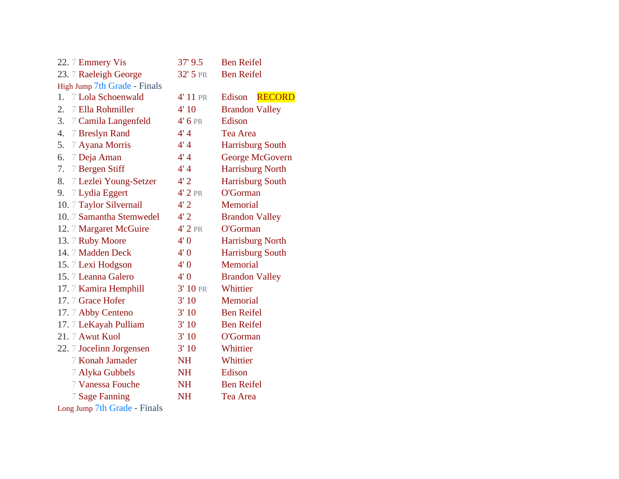| 22. 7 Emmery Vis             | 37' 9.5   | <b>Ben Reifel</b>       |
|------------------------------|-----------|-------------------------|
| 23. 7 Raeleigh George        | 32' 5 PR  | <b>Ben Reifel</b>       |
| High Jump 7th Grade - Finals |           |                         |
| 7 Lola Schoenwald<br>1.      | 4' 11 PR  | <b>RECORD</b><br>Edison |
| 7 Ella Rohmiller<br>2.       | 4'10      | <b>Brandon Valley</b>   |
| 3.<br>7 Camila Langenfeld    | $4'$ 6 PR | Edison                  |
| 7 Breslyn Rand<br>4.         | 4'4       | <b>Tea Area</b>         |
| 5. 7 Ayana Morris            | 4'4       | <b>Harrisburg South</b> |
| 6. 7 Deja Aman               | 4'4       | George McGovern         |
| 7 Bergen Stiff<br>7.         | 4'4       | <b>Harrisburg North</b> |
| 8.<br>7 Lezlei Young-Setzer  | 4'2       | <b>Harrisburg South</b> |
| 7 Lydia Eggert<br>9.         | $4'2$ PR  | O'Gorman                |
| 10. 7 Taylor Silvernail      | 4'2       | Memorial                |
| 10. 7 Samantha Stemwedel     | 4'2       | <b>Brandon Valley</b>   |
| 12. 7 Margaret McGuire       | $4'2$ PR  | O'Gorman                |
| 13. 7 Ruby Moore             | 4'0       | Harrisburg North        |
| 14. 7 Madden Deck            | 4'0       | <b>Harrisburg South</b> |
| 15. 7 Lexi Hodgson           | 4'0       | <b>Memorial</b>         |
| 15. 7 Leanna Galero          | 4'0       | <b>Brandon Valley</b>   |
| 17.7 Kamira Hemphill         | 3' 10 PR  | Whittier                |
| 17. 7 Grace Hofer            | 3'10      | Memorial                |
| 17. 7 Abby Centeno           | 3'10      | <b>Ben Reifel</b>       |
| 17.7 LeKayah Pulliam         | 3'10      | <b>Ben Reifel</b>       |
| 21. 7 Awut Kuol              | 3'10      | O'Gorman                |
| 22. 7 Jocelinn Jorgensen     | 3'10      | Whittier                |
| 7 Konah Jamader              | <b>NH</b> | Whittier                |
| 7 Alyka Gubbels              | <b>NH</b> | Edison                  |
| 7 Vanessa Fouche             | <b>NH</b> | <b>Ben Reifel</b>       |
| 7 Sage Fanning               | <b>NH</b> | Tea Area                |
|                              |           |                         |

[Long Jump](https://www.athletic.net/TrackAndField/meet/470937/results/f/11/lj) 7th Grade - Finals